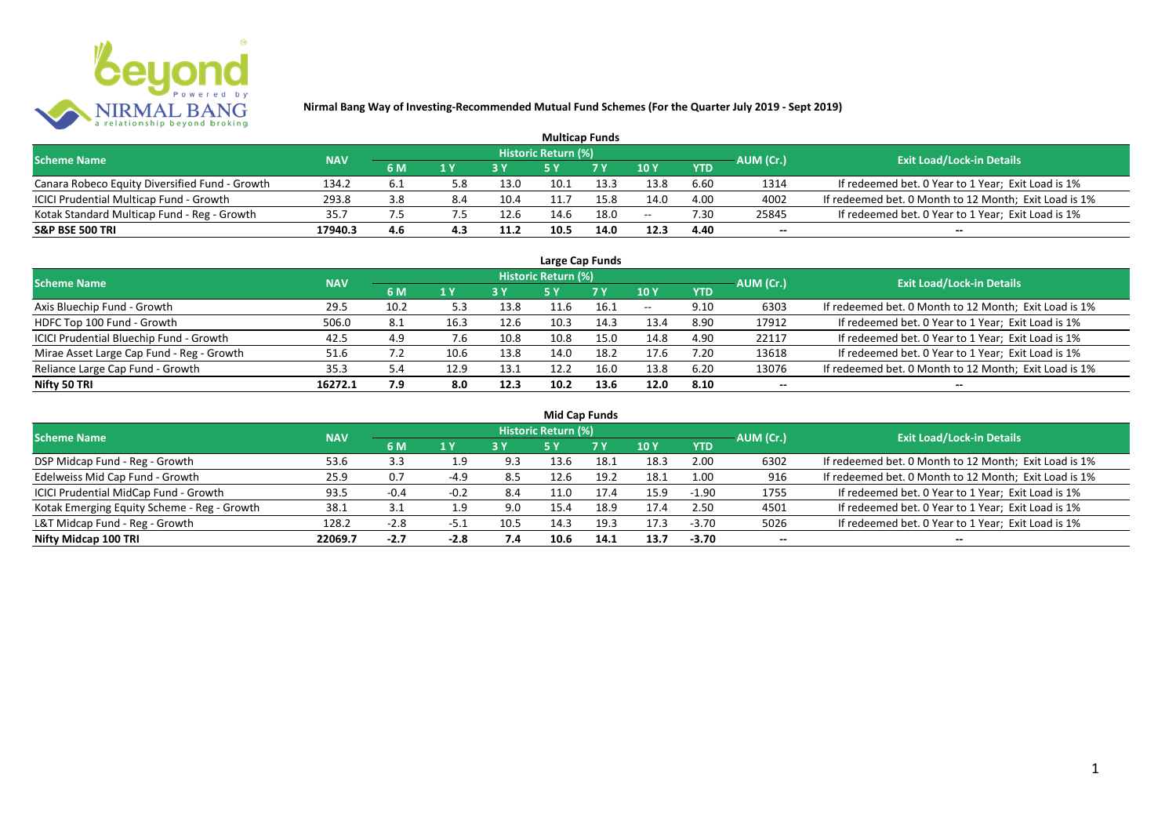

| <b>Multicap Funds</b>                          |            |     |     |      |                     |            |                 |            |           |                                                       |  |  |  |
|------------------------------------------------|------------|-----|-----|------|---------------------|------------|-----------------|------------|-----------|-------------------------------------------------------|--|--|--|
| <b>Scheme Name</b>                             | <b>NAV</b> |     |     |      | Historic Return (%) |            |                 |            | AUM (Cr.) | <b>Exit Load/Lock-in Details</b>                      |  |  |  |
|                                                |            | 6 M | 1 Y | 2V   |                     | <b>7 Y</b> | 10 <sub>Y</sub> | <b>YTD</b> |           |                                                       |  |  |  |
| Canara Robeco Equity Diversified Fund - Growth | 134.2      | 6.1 |     | 13.0 | 10.1                | 13.3       | 13.8            | 6.60       | 1314      | If redeemed bet. 0 Year to 1 Year; Exit Load is 1%    |  |  |  |
| ICICI Prudential Multicap Fund - Growth        | 293.8      | 3.8 | 8.4 | 10.4 |                     | 15.8       | 14.0            | 4.00       | 4002      | If redeemed bet. 0 Month to 12 Month; Exit Load is 1% |  |  |  |
| Kotak Standard Multicap Fund - Reg - Growth    | 35.7       |     |     | 12.6 | 14.6                | 18.0       | $- -$           | 7.30       | 25845     | If redeemed bet. 0 Year to 1 Year; Exit Load is 1%    |  |  |  |
| <b>S&amp;P BSE 500 TRI</b>                     | 17940.3    | 4.6 | 4.3 | 11.2 | 10.5                | 14.0       | 12.3            | 4.40       | $- -$     | $- -$                                                 |  |  |  |

| Large Cap Funds                           |            |      |      |      |                            |      |       |            |           |                                                       |  |  |  |  |
|-------------------------------------------|------------|------|------|------|----------------------------|------|-------|------------|-----------|-------------------------------------------------------|--|--|--|--|
| <b>Scheme Name</b>                        | <b>NAV</b> |      |      |      | <b>Historic Return (%)</b> |      |       |            | AUM (Cr.) | <b>Exit Load/Lock-in Details</b>                      |  |  |  |  |
|                                           |            | 6 M  | 1 Y  |      | <b>5Y</b>                  | 7 Y  | 10Y   | <b>YTD</b> |           |                                                       |  |  |  |  |
| Axis Bluechip Fund - Growth               | 29.5       | 10.2 | 5.3  | 13.8 |                            | 16.1 | $- -$ | 9.10       | 6303      | If redeemed bet. 0 Month to 12 Month; Exit Load is 1% |  |  |  |  |
| HDFC Top 100 Fund - Growth                | 506.0      | 8.1  | 16.3 | 12.6 | 10.3                       | 14.3 | 13.4  | 8.90       | 17912     | If redeemed bet. 0 Year to 1 Year; Exit Load is 1%    |  |  |  |  |
| ICICI Prudential Bluechip Fund - Growth   | 42.5       | 4.9  | 7.6  | 10.8 | 10.8                       | 15.0 | 14.8  | 4.90       | 22117     | If redeemed bet. 0 Year to 1 Year; Exit Load is 1%    |  |  |  |  |
| Mirae Asset Large Cap Fund - Reg - Growth | 51.6       |      | 10.6 | 13.8 | 14.0                       | 18.2 | 17.6  | 7.20       | 13618     | If redeemed bet. 0 Year to 1 Year; Exit Load is 1%    |  |  |  |  |
| Reliance Large Cap Fund - Growth          | 35.3       | 5.4  | 12.9 | 13.1 | 12.2                       | 16.0 | 13.8  | 6.20       | 13076     | If redeemed bet. 0 Month to 12 Month; Exit Load is 1% |  |  |  |  |
| Nifty 50 TRI                              | 16272.1    | 7.9  | 8.0  | 12.3 | 10.2                       | 13.6 | 12.0  | 8.10       |           | --                                                    |  |  |  |  |

| <b>Mid Cap Funds</b>                        |            |        |        |      |                            |      |      |            |                          |                                                       |  |  |  |  |
|---------------------------------------------|------------|--------|--------|------|----------------------------|------|------|------------|--------------------------|-------------------------------------------------------|--|--|--|--|
| <b>Scheme Name</b>                          | <b>NAV</b> |        |        |      | <b>Historic Return (%)</b> |      |      |            | AUM (Cr.)                | <b>Exit Load/Lock-in Details</b>                      |  |  |  |  |
|                                             |            | 6 M    | 1 Y    |      | 5 Y                        | 7 Y  | 10Y  | <b>YTD</b> |                          |                                                       |  |  |  |  |
| DSP Midcap Fund - Reg - Growth              | 53.6       | 3.3    | 1.9    | 9.3  | 13.6                       | 18.1 | 18.3 | 2.00       | 6302                     | If redeemed bet. 0 Month to 12 Month; Exit Load is 1% |  |  |  |  |
| Edelweiss Mid Cap Fund - Growth             | 25.9       | 0.7    | -4.9   | 8.5  | 12.6                       | 19.2 | 18.1 | 1.00       | 916                      | If redeemed bet. 0 Month to 12 Month; Exit Load is 1% |  |  |  |  |
| ICICI Prudential MidCap Fund - Growth       | 93.5       | $-0.4$ | -0.2   | 8.4  | 1.0ء                       | 17.4 | 15.9 | $-1.90$    | 1755                     | If redeemed bet. 0 Year to 1 Year; Exit Load is 1%    |  |  |  |  |
| Kotak Emerging Equity Scheme - Reg - Growth | 38.1       | 3.1    | 1.9    | 9.0  | 15.4                       | 18.9 | 17.4 | 2.50       | 4501                     | If redeemed bet. 0 Year to 1 Year; Exit Load is 1%    |  |  |  |  |
| L&T Midcap Fund - Reg - Growth              | 128.2      | $-2.8$ | ـ د-   | 10.5 | 14.3                       | 19.3 | 17.3 | $-3.70$    | 5026                     | If redeemed bet. 0 Year to 1 Year; Exit Load is 1%    |  |  |  |  |
| Nifty Midcap 100 TRI                        | 22069.7    | $-2.7$ | $-2.8$ | 7.4  | 10.6                       | 14.1 | 13.7 | $-3.70$    | $\overline{\phantom{a}}$ | $- -$                                                 |  |  |  |  |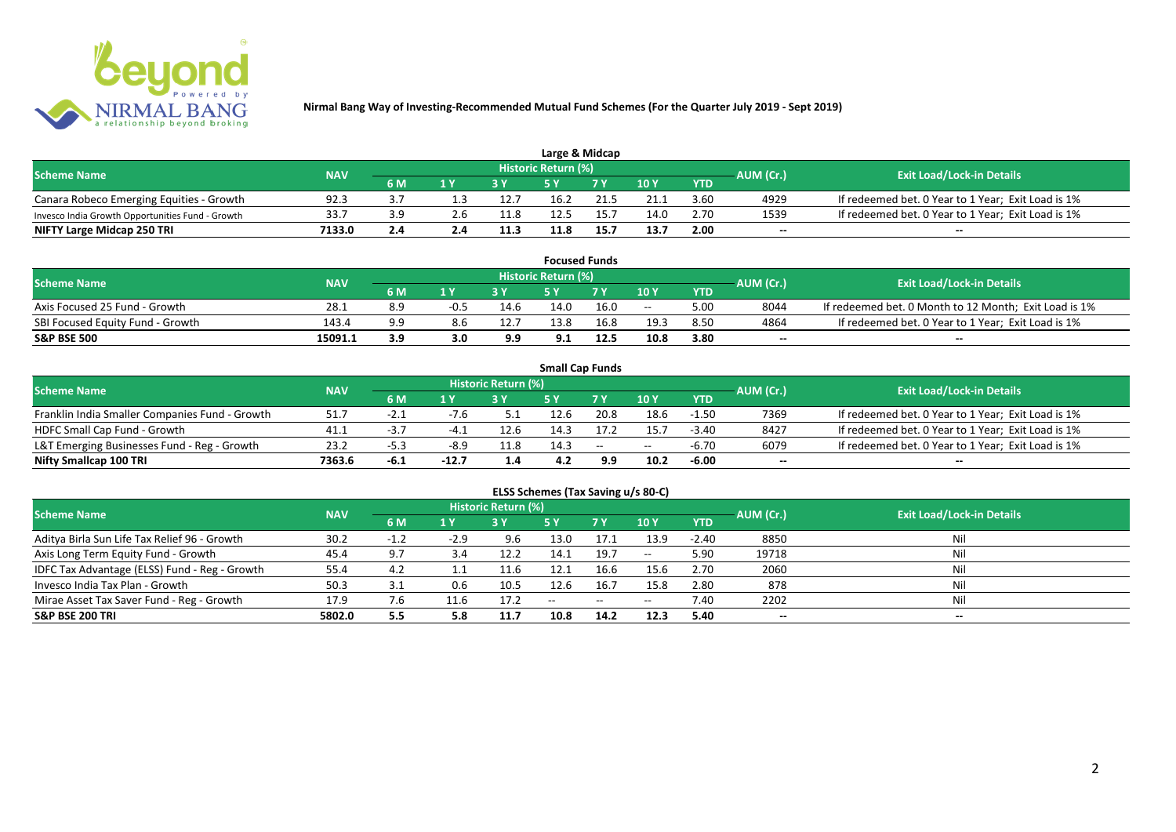

| Large & Midcap                                   |            |     |                         |      |                            |      |      |            |           |                                                    |  |  |  |
|--------------------------------------------------|------------|-----|-------------------------|------|----------------------------|------|------|------------|-----------|----------------------------------------------------|--|--|--|
| <b>Scheme Name</b>                               | <b>NAV</b> |     |                         |      | <b>Historic Return (%)</b> |      |      |            | AUM (Cr.) | <b>Exit Load/Lock-in Details</b>                   |  |  |  |
|                                                  |            | 6 M | $\mathbf{A} \mathbf{V}$ |      |                            | 7 V  | 10Y  | <b>YTD</b> |           |                                                    |  |  |  |
| Canara Robeco Emerging Equities - Growth         | 92.3       |     |                         | 12.7 | 16.2                       |      | 21.1 | 3.60       | 4929      | If redeemed bet. 0 Year to 1 Year; Exit Load is 1% |  |  |  |
| Invesco India Growth Opportunities Fund - Growth | 33.7       |     |                         | 11.8 | 12.5                       |      | 14.0 | 2.70       | 1539      | If redeemed bet. 0 Year to 1 Year; Exit Load is 1% |  |  |  |
| NIFTY Large Midcap 250 TRI                       | 7133.0     | 2.4 |                         | 11.3 | 11.8                       | 15.7 | 13.7 | 2.00       | $- -$     | $- -$                                              |  |  |  |

|                                  |            |     |        |      |                     | <b>Focused Funds</b> |       |            |           |                                                       |
|----------------------------------|------------|-----|--------|------|---------------------|----------------------|-------|------------|-----------|-------------------------------------------------------|
| <b>Scheme Name</b>               | <b>NAV</b> |     |        |      | Historic Return (%) |                      |       |            | AUM (Cr.) | <b>Exit Load/Lock-in Details</b>                      |
|                                  |            | 6 M | 1 V    |      | cν                  | 7 V                  | 10 Y  | <b>YTD</b> |           |                                                       |
| Axis Focused 25 Fund - Growth    | 28.1       | 8.9 | $-0.5$ | 14.6 | 14.0                | 16.0                 | $- -$ | 5.00       | 8044      | If redeemed bet. 0 Month to 12 Month; Exit Load is 1% |
| SBI Focused Equity Fund - Growth | 143.4      | 9.9 |        | 12.7 | 13.8                | 16.8                 | 19.3  | 8.50       | 4864      | If redeemed bet. 0 Year to 1 Year; Exit Load is 1%    |
| <b>S&amp;P BSE 500</b>           | 15091.1    | 3.9 | 3.0    | 9.9  | 9.1                 | 12.5                 | 10.8  | 3.80       | $- -$     | $- -$                                                 |

|                                                |            |      |         |                     |      | <b>Small Cap Funds</b> |       |            |           |                                                    |
|------------------------------------------------|------------|------|---------|---------------------|------|------------------------|-------|------------|-----------|----------------------------------------------------|
| <b>Scheme Name</b>                             | <b>NAV</b> |      |         | Historic Return (%) |      |                        |       |            | AUM (Cr.) | <b>Exit Load/Lock-in Details</b>                   |
|                                                |            | 6 M  |         |                     |      |                        | 10Y   | <b>YTD</b> |           |                                                    |
| Franklin India Smaller Companies Fund - Growth | 51.7       | -2.1 | -7.6    |                     | 12.6 | 20.8                   | 18.6  | $-1.50$    | 7369      | If redeemed bet. 0 Year to 1 Year; Exit Load is 1% |
| HDFC Small Cap Fund - Growth                   | 41.1       | -5., | -4      | 12.6                | 14.3 |                        | 15.7  | $-3.40$    | 8427      | If redeemed bet. 0 Year to 1 Year; Exit Load is 1% |
| L&T Emerging Businesses Fund - Reg - Growth    | 23.2       | -5.3 | -8.9    | 11.8                | 14.3 | $\sim$                 | $- -$ | -6.70      | 6079      | If redeemed bet. 0 Year to 1 Year; Exit Load is 1% |
| Nifty Smallcap 100 TRI                         | 7363.6     | -6.1 | $-12.7$ | 1.4                 | 4.2  | 9.9                    | 10.2  | $-6.00$    | $- -$     | --                                                 |

# **ELSS Schemes (Tax Saving u/s 80-C)**

| <b>Scheme Name</b>                            | <b>NAV</b> |     |        | <b>Historic Return (%)</b> |       |      |         |            | AUM (Cr.)                | <b>Exit Load/Lock-in Details</b> |
|-----------------------------------------------|------------|-----|--------|----------------------------|-------|------|---------|------------|--------------------------|----------------------------------|
|                                               |            | 6 M | 1 Y    |                            | 5 Y   | 7Y   | 10Y     | <b>YTD</b> |                          |                                  |
| Aditya Birla Sun Life Tax Relief 96 - Growth  | 30.2       | нT  | $-2.9$ | 9.6                        | 13.0  | 17.1 | 13.9    | $-2.40$    | 8850                     | Nil                              |
| Axis Long Term Equity Fund - Growth           | 45.4       | 9.7 | 3.4    | 12.2                       | 14.1  | 19.7 | $-  \,$ | 5.90       | 19718                    |                                  |
| IDFC Tax Advantage (ELSS) Fund - Reg - Growth | 55.4       | 4.2 |        | 11.6                       | 12.1  | 16.6 | 15.6    | 2.70       | 2060                     |                                  |
| Invesco India Tax Plan - Growth               | 50.3       | 3.1 | 0.6    | 10.5                       | 12.6  | 16.7 | 15.8    | 2.80       | 878                      |                                  |
| Mirae Asset Tax Saver Fund - Reg - Growth     | 17.9       | 7.6 | 11.6   | 17.2                       | $- -$ | --   | $- -$   | 7.40       | 2202                     |                                  |
| <b>S&amp;P BSE 200 TRI</b>                    | 5802.0     | 5.5 | 5.8    | 11.7                       | 10.8  | 14.2 | 12.3    | 5.40       | $\overline{\phantom{a}}$ | $\overline{\phantom{a}}$         |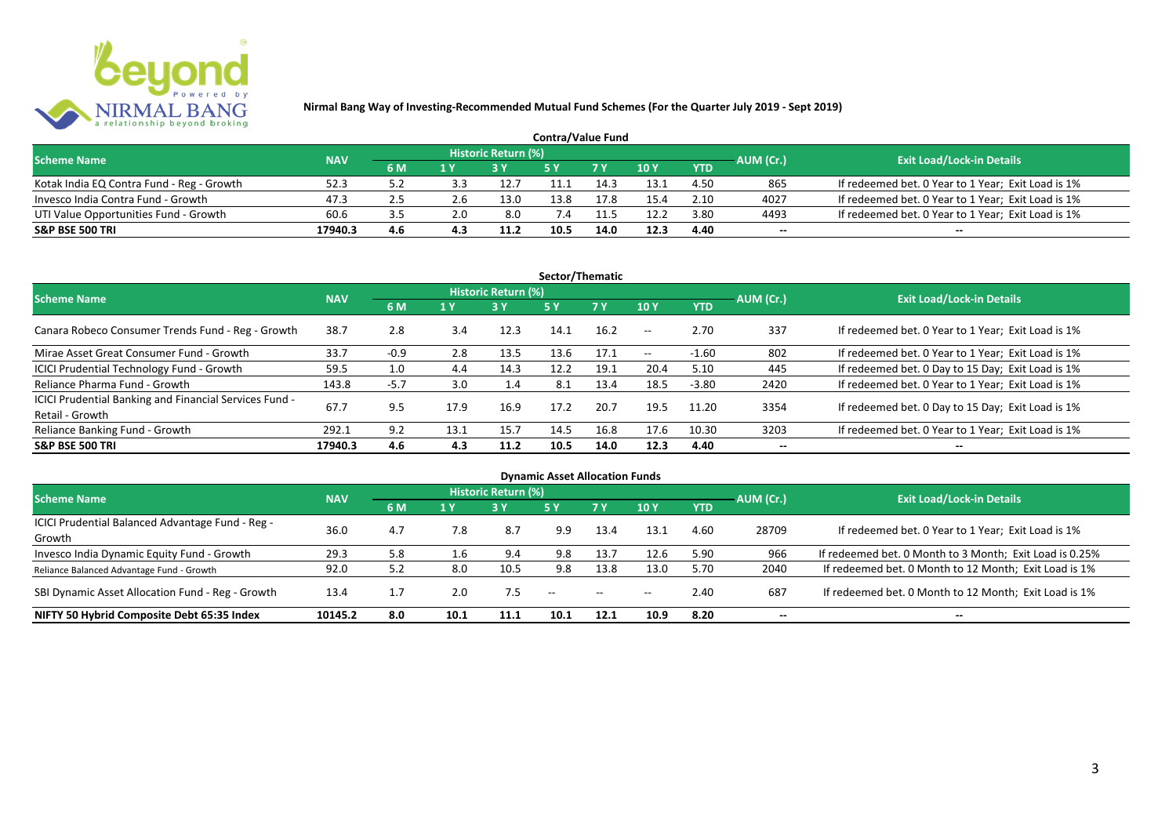

| <b>Contra/Value Fund</b>                  |            |     |     |                     |      |      |      |            |           |                                                    |  |  |  |
|-------------------------------------------|------------|-----|-----|---------------------|------|------|------|------------|-----------|----------------------------------------------------|--|--|--|
| <b>Scheme Name</b>                        | <b>NAV</b> |     |     | Historic Return (%) |      |      |      |            | AUM (Cr.) | <b>Exit Load/Lock-in Details</b>                   |  |  |  |
|                                           |            | 6 M | 1 Y |                     |      |      | 10Y  | <b>YTD</b> |           |                                                    |  |  |  |
| Kotak India EQ Contra Fund - Reg - Growth | 52.3       | 5.2 |     | 12.7                |      | 14.3 | 13.1 | 4.50       | 865       | If redeemed bet. 0 Year to 1 Year; Exit Load is 1% |  |  |  |
| Invesco India Contra Fund - Growth        | 47.3       | 2.5 | 2.6 | 13.0                | 13.8 |      | 15.4 | 2.10       | 4027      | If redeemed bet. 0 Year to 1 Year; Exit Load is 1% |  |  |  |
| UTI Value Opportunities Fund - Growth     | 60.6       | 3.5 | 2.0 | 8.0                 |      | -1.5 | 12.2 | 3.80       | 4493      | If redeemed bet. 0 Year to 1 Year; Exit Load is 1% |  |  |  |
| <b>S&amp;P BSE 500 TRI</b>                | 17940.3    | 4.6 |     | 11.2                | 10.5 | 14.0 | 12.3 | 4.40       | --        | $- -$                                              |  |  |  |

| Sector/Thematic                                                           |            |        |      |                            |      |           |                          |            |                          |                                                    |  |  |  |
|---------------------------------------------------------------------------|------------|--------|------|----------------------------|------|-----------|--------------------------|------------|--------------------------|----------------------------------------------------|--|--|--|
| <b>Scheme Name</b>                                                        | <b>NAV</b> |        |      | <b>Historic Return (%)</b> |      |           |                          |            | AUM (Cr.)                | <b>Exit Load/Lock-in Details</b>                   |  |  |  |
|                                                                           |            | 6 M    | 1 Y  | <b>3 Y</b>                 | 5Y   | <b>7Y</b> | 10Y                      | <b>YTD</b> |                          |                                                    |  |  |  |
| Canara Robeco Consumer Trends Fund - Reg - Growth                         | 38.7       | 2.8    | 3.4  | 12.3                       | 14.1 | 16.2      | $\sim$ $\sim$            | 2.70       | 337                      | If redeemed bet. 0 Year to 1 Year; Exit Load is 1% |  |  |  |
| Mirae Asset Great Consumer Fund - Growth                                  | 33.7       | $-0.9$ | 2.8  | 13.5                       | 13.6 | 17.1      | $\overline{\phantom{a}}$ | $-1.60$    | 802                      | If redeemed bet. 0 Year to 1 Year; Exit Load is 1% |  |  |  |
| ICICI Prudential Technology Fund - Growth                                 | 59.5       | 1.0    | 4.4  | 14.3                       | 12.2 | 19.1      | 20.4                     | 5.10       | 445                      | If redeemed bet. 0 Day to 15 Day; Exit Load is 1%  |  |  |  |
| Reliance Pharma Fund - Growth                                             | 143.8      | $-5.7$ | 3.0  | 1.4                        | 8.1  | 13.4      | 18.5                     | $-3.80$    | 2420                     | If redeemed bet. 0 Year to 1 Year; Exit Load is 1% |  |  |  |
| ICICI Prudential Banking and Financial Services Fund -<br>Retail - Growth | 67.7       | 9.5    | 17.9 | 16.9                       | 17.2 | 20.7      | 19.5                     | 11.20      | 3354                     | If redeemed bet. 0 Day to 15 Day; Exit Load is 1%  |  |  |  |
| Reliance Banking Fund - Growth                                            | 292.1      | 9.2    | 13.1 | 15.7                       | 14.5 | 16.8      | 17.6                     | 10.30      | 3203                     | If redeemed bet. 0 Year to 1 Year; Exit Load is 1% |  |  |  |
| <b>S&amp;P BSE 500 TRI</b>                                                | 17940.3    | 4.6    | 4.3  | 11.2                       | 10.5 | 14.0      | 12.3                     | 4.40       | $\overline{\phantom{a}}$ | $- -$                                              |  |  |  |

| <b>Dynamic Asset Allocation Funds</b>            |            |     |      |                            |               |               |       |            |                          |                                                         |  |  |  |
|--------------------------------------------------|------------|-----|------|----------------------------|---------------|---------------|-------|------------|--------------------------|---------------------------------------------------------|--|--|--|
| <b>Scheme Name</b>                               | <b>NAV</b> |     |      | <b>Historic Return (%)</b> |               |               |       |            | AUM (Cr.)                | <b>Exit Load/Lock-in Details</b>                        |  |  |  |
|                                                  |            | 6 M | 1 Y  | 73 Y.                      | 5 Y           | .7 Y          | 10Y   | <b>YTD</b> |                          |                                                         |  |  |  |
| ICICI Prudential Balanced Advantage Fund - Reg - | 36.0       | 4.7 | 7.8  |                            |               |               | 13.1  | 4.60       |                          |                                                         |  |  |  |
| Growth                                           |            |     |      | 8.7                        | 9.9           | 13.4          |       |            | 28709                    | If redeemed bet. 0 Year to 1 Year; Exit Load is 1%      |  |  |  |
| Invesco India Dynamic Equity Fund - Growth       | 29.3       | 5.8 | 1.6  | 9.4                        | 9.8           | 13.7          | 12.6  | 5.90       | 966                      | If redeemed bet. 0 Month to 3 Month; Exit Load is 0.25% |  |  |  |
| Reliance Balanced Advantage Fund - Growth        | 92.0       | 5.2 | 8.0  | 10.5                       | 9.8           | 13.8          | 13.0  | 5.70       | 2040                     | If redeemed bet. 0 Month to 12 Month; Exit Load is 1%   |  |  |  |
| SBI Dynamic Asset Allocation Fund - Reg - Growth | 13.4       |     | 2.0  | 7.5                        | $\sim$ $\sim$ | $\sim$ $\sim$ | $- -$ | 2.40       | 687                      | If redeemed bet. 0 Month to 12 Month; Exit Load is 1%   |  |  |  |
| NIFTY 50 Hybrid Composite Debt 65:35 Index       | 10145.2    | 8.0 | 10.1 | 11.1                       | 10.1          | 12.1          | 10.9  | 8.20       | $\overline{\phantom{a}}$ | $- -$                                                   |  |  |  |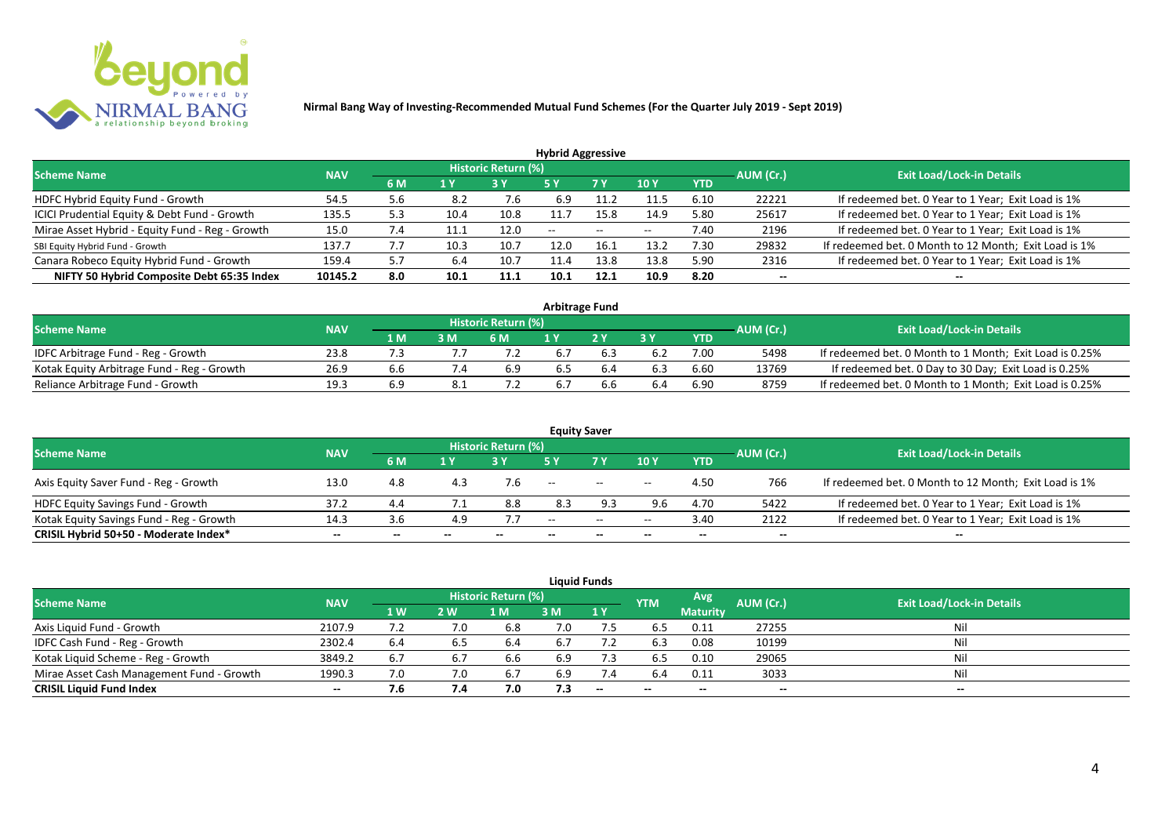

| <b>Hybrid Aggressive</b>                        |            |     |      |                            |                          |      |                          |            |                          |                                                       |  |  |  |  |
|-------------------------------------------------|------------|-----|------|----------------------------|--------------------------|------|--------------------------|------------|--------------------------|-------------------------------------------------------|--|--|--|--|
| <b>Scheme Name</b>                              | <b>NAV</b> |     |      | <b>Historic Return (%)</b> |                          |      |                          |            | AUM (Cr.)                | <b>Exit Load/Lock-in Details</b>                      |  |  |  |  |
|                                                 |            | 6 M | 1 Y  |                            | 5 Y                      | 7 Y  | 10Y                      | <b>YTD</b> |                          |                                                       |  |  |  |  |
| HDFC Hybrid Equity Fund - Growth                | 54.5       | 5.6 | 8.2  | 7.6                        | 6.9                      |      | 11.5                     | 6.10       | 22221                    | If redeemed bet. 0 Year to 1 Year; Exit Load is 1%    |  |  |  |  |
| ICICI Prudential Equity & Debt Fund - Growth    | 135.5      | 5.3 | 10.4 | 10.8                       | 11.7                     | 15.8 | 14.9                     | 5.80       | 25617                    | If redeemed bet. 0 Year to 1 Year; Exit Load is 1%    |  |  |  |  |
| Mirae Asset Hybrid - Equity Fund - Reg - Growth | 15.0       | 7.4 |      | 12.0                       | $\overline{\phantom{a}}$ | --   | $\overline{\phantom{a}}$ | 7.40       | 2196                     | If redeemed bet. 0 Year to 1 Year; Exit Load is 1%    |  |  |  |  |
| SBI Equity Hybrid Fund - Growth                 | 137.7      |     | 10.3 | 10.7                       | 12.0                     | 16.1 | 13.2                     | 7.30       | 29832                    | If redeemed bet. 0 Month to 12 Month; Exit Load is 1% |  |  |  |  |
| Canara Robeco Equity Hybrid Fund - Growth       | 159.4      | 5.7 | 6.4  | 10.7                       | 11.4                     | 13.8 | 13.8                     | 5.90       | 2316                     | If redeemed bet. 0 Year to 1 Year; Exit Load is 1%    |  |  |  |  |
| NIFTY 50 Hybrid Composite Debt 65:35 Index      | 10145.2    | 8.0 | 10.1 | 11.1                       | 10.1                     | 12.1 | 10.9                     | 8.20       | $\overline{\phantom{a}}$ | $- -$                                                 |  |  |  |  |

| <b>Arbitrage Fund</b>                      |            |     |     |                            |     |  |     |      |           |                                                         |  |  |  |
|--------------------------------------------|------------|-----|-----|----------------------------|-----|--|-----|------|-----------|---------------------------------------------------------|--|--|--|
| <b>Scheme Name</b>                         | <b>NAV</b> |     |     | <b>Historic Return (%)</b> |     |  |     |      | AUM (Cr.) | <b>Exit Load/Lock-in Details</b>                        |  |  |  |
|                                            |            | 1 M | 3 M | 6 M                        |     |  | 2 V | YTD  |           |                                                         |  |  |  |
| IDFC Arbitrage Fund - Reg - Growth         | 23.8       |     |     |                            | 6.7 |  |     | 7.00 | 5498      | If redeemed bet. 0 Month to 1 Month; Exit Load is 0.25% |  |  |  |
| Kotak Equity Arbitrage Fund - Reg - Growth | 26.9       | b.b |     | 6.9                        | 6.5 |  |     | 6.60 | 13769     | If redeemed bet. 0 Day to 30 Day; Exit Load is 0.25%    |  |  |  |
| Reliance Arbitrage Fund - Growth           | 19.3       |     |     |                            | 6.7 |  | 6.4 | 6.90 | 8759      | If redeemed bet. 0 Month to 1 Month; Exit Load is 0.25% |  |  |  |

|                                          |            |       |       |                     |        | <b>Equity Saver</b>                            |                 |            |           |                                                       |
|------------------------------------------|------------|-------|-------|---------------------|--------|------------------------------------------------|-----------------|------------|-----------|-------------------------------------------------------|
| <b>Scheme Name</b>                       | <b>NAV</b> |       |       | Historic Return (%) |        |                                                |                 |            | AUM (Cr.) | <b>Exit Load/Lock-in Details</b>                      |
|                                          |            | 6 M   | 1 V   |                     |        | 7 <sub>V</sub>                                 | 10 <sub>V</sub> | <b>YTD</b> |           |                                                       |
| Axis Equity Saver Fund - Reg - Growth    | 13.0       | 4.8   |       |                     | $- -$  | $\hspace{0.1mm}-\hspace{0.1mm}-\hspace{0.1mm}$ | $- -$           | 4.50       | 766       | If redeemed bet. 0 Month to 12 Month; Exit Load is 1% |
| HDFC Equity Savings Fund - Growth        | 37.2       | 4.4   |       | 8.8                 | 8.3    | 9.3                                            | 9.6             | 4.70       | 5422      | If redeemed bet. 0 Year to 1 Year; Exit Load is 1%    |
| Kotak Equity Savings Fund - Reg - Growth | 14.3       | 3.6   | 4.9   |                     | $  \,$ | $\sim$                                         | $- -$           | 3.40       | 2122      | If redeemed bet. 0 Year to 1 Year; Exit Load is 1%    |
| CRISIL Hybrid 50+50 - Moderate Index*    | $- -$      | $- -$ | $- -$ |                     | $- -$  | --                                             |                 | $- -$      | $- -$     |                                                       |

| <b>Liquid Funds</b>                       |                                  |           |     |     |     |                          |            |                 |           |       |  |  |  |  |
|-------------------------------------------|----------------------------------|-----------|-----|-----|-----|--------------------------|------------|-----------------|-----------|-------|--|--|--|--|
| <b>Scheme Name</b>                        | <b>Exit Load/Lock-in Details</b> |           |     |     |     |                          |            |                 |           |       |  |  |  |  |
|                                           | <b>NAV</b>                       | <b>1W</b> | 2 W | l M | 3 M | 1Y                       | <b>YTM</b> | <b>Maturity</b> | AUM (Cr.) |       |  |  |  |  |
| Axis Liquid Fund - Growth                 | 2107.9                           |           | 7.0 | 6.8 | 7.0 |                          | 6.5        | 0.11            | 27255     | Nil   |  |  |  |  |
| IDFC Cash Fund - Reg - Growth             | 2302.4                           | 6.4       | 6.5 | 6.4 | 6.7 |                          | 6.3        | 0.08            | 10199     | Nil   |  |  |  |  |
| Kotak Liquid Scheme - Reg - Growth        | 3849.2                           | 6.7       | 6.7 | 6.6 | 6.9 | 7.3                      | 6.5        | 0.10            | 29065     | Nil   |  |  |  |  |
| Mirae Asset Cash Management Fund - Growth | 1990.3                           | 7.0       |     | 6.7 | 6.9 | 7.4                      | 6.4        | 0.11            | 3033      | Nil   |  |  |  |  |
| <b>CRISIL Liquid Fund Index</b>           | $- -$                            | 7.6       | 7.4 | 7.0 | 7.3 | $\overline{\phantom{a}}$ | $- -$      | $-$             | $-$       | $- -$ |  |  |  |  |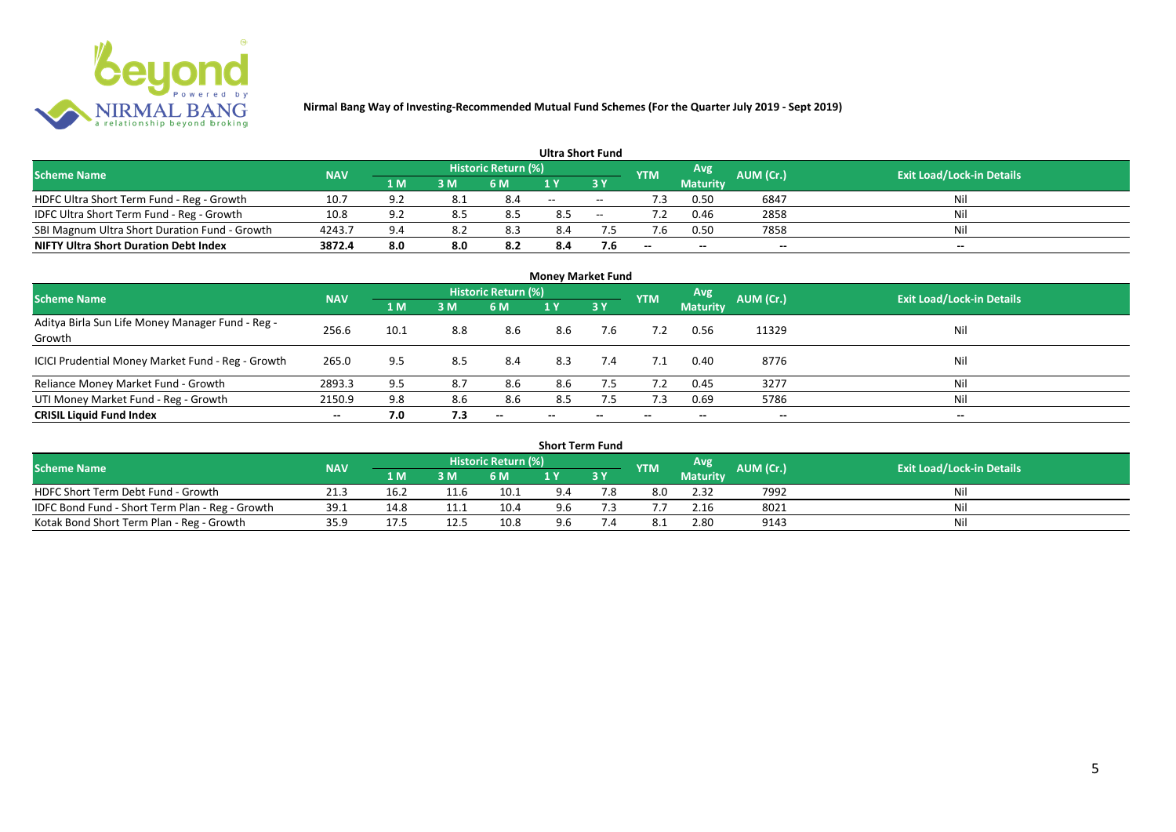

|                                               |            |            |     |                            | <b>Ultra Short Fund</b> |        |            |                 |           |                                  |
|-----------------------------------------------|------------|------------|-----|----------------------------|-------------------------|--------|------------|-----------------|-----------|----------------------------------|
| <b>Scheme Name</b>                            | <b>NAV</b> |            |     | <b>Historic Return (%)</b> |                         |        | <b>YTM</b> | Avg             | AUM (Cr.) | <b>Exit Load/Lock-in Details</b> |
|                                               |            | 1 M        | 3 M | 6 M                        | 1 V                     |        |            | <b>Maturity</b> |           |                                  |
| HDFC Ultra Short Term Fund - Reg - Growth     | 10.7       | <b>Q</b> 2 | 8.1 | 8.4                        | $-$                     | $\sim$ | ٠3         | 0.50            | 6847      | Nil                              |
| IDFC Ultra Short Term Fund - Reg - Growth     | 10.8       | 9.2        | 8.5 |                            | 8.5                     | $\sim$ |            | 0.46            | 2858      | Nil                              |
| SBI Magnum Ultra Short Duration Fund - Growth | 4243.7     | 9.4        | 8.2 | 8.3                        | 8.4                     |        |            | 0.50            | 7858      | Nil                              |
| <b>NIFTY Ultra Short Duration Debt Index</b>  | 3872.4     | 8.0        | 8.0 | 8.2                        | 8.4                     | 7.6    | $- -$      | $- -$           | $- -$     | $\overline{\phantom{a}}$         |

| <b>Money Market Fund</b>                                   |            |      |     |                     |       |                          |            |                 |           |                                  |  |  |  |  |
|------------------------------------------------------------|------------|------|-----|---------------------|-------|--------------------------|------------|-----------------|-----------|----------------------------------|--|--|--|--|
| <b>Scheme Name</b>                                         | <b>NAV</b> |      |     | Historic Return (%) |       |                          | <b>YTM</b> | Avg             | AUM (Cr.) | <b>Exit Load/Lock-in Details</b> |  |  |  |  |
|                                                            |            | 1 M  | 3M  | 6 M                 | 1Y    | 3Y                       |            | <b>Maturity</b> |           |                                  |  |  |  |  |
| Aditya Birla Sun Life Money Manager Fund - Reg -<br>Growth | 256.6      | 10.1 | 8.8 | 8.6                 | 8.6   | 7.6                      |            | 0.56            | 11329     | Nil                              |  |  |  |  |
| ICICI Prudential Money Market Fund - Reg - Growth          | 265.0      | 9.5  | 8.5 | 8.4                 | 8.3   | 7.4                      |            | 0.40            | 8776      | Nil                              |  |  |  |  |
| Reliance Money Market Fund - Growth                        | 2893.3     | 9.5  | 8.7 | 8.6                 | 8.6   | 7.5                      |            | 0.45            | 3277      | Nil                              |  |  |  |  |
| UTI Money Market Fund - Reg - Growth                       | 2150.9     | 9.8  | 8.6 | 8.6                 | 8.5   | 7.5                      | 7.3        | 0.69            | 5786      | Nil                              |  |  |  |  |
| <b>CRISIL Liquid Fund Index</b>                            | $- -$      | 7.0  | 7.3 | $- -$               | $- -$ | $\overline{\phantom{a}}$ | $- -$      | $- -$           | $- -$     | $\overline{\phantom{a}}$         |  |  |  |  |

| <b>Short Term Fund</b>                          |            |      |      |                            |     |    |            |                 |                  |                                  |  |  |  |  |
|-------------------------------------------------|------------|------|------|----------------------------|-----|----|------------|-----------------|------------------|----------------------------------|--|--|--|--|
| <b>Scheme Name</b>                              | <b>NAV</b> |      |      | <b>Historic Return (%)</b> |     |    | <b>YTM</b> | Avg             | <b>AUM</b> (Cr.) | <b>Exit Load/Lock-in Details</b> |  |  |  |  |
|                                                 |            | 1 M  | 3 M  | 6 M                        |     | 3Y |            | <b>Maturity</b> |                  |                                  |  |  |  |  |
| HDFC Short Term Debt Fund - Growth              | 21.3       | 16.2 | 11.b | 10.1                       | 9.4 |    | 8.0        | 2.32            | 7992             | Nil                              |  |  |  |  |
| IDFC Bond Fund - Short Term Plan - Reg - Growth | 39.1       | 14.8 |      | 10.4                       | 9.6 |    |            | 2.16            | 8021             | Nil                              |  |  |  |  |
| Kotak Bond Short Term Plan - Reg - Growth       | 35.9       | 17.5 | 12.5 | 10.8                       | 9.6 |    |            | 2.80            | 9143             | Nil                              |  |  |  |  |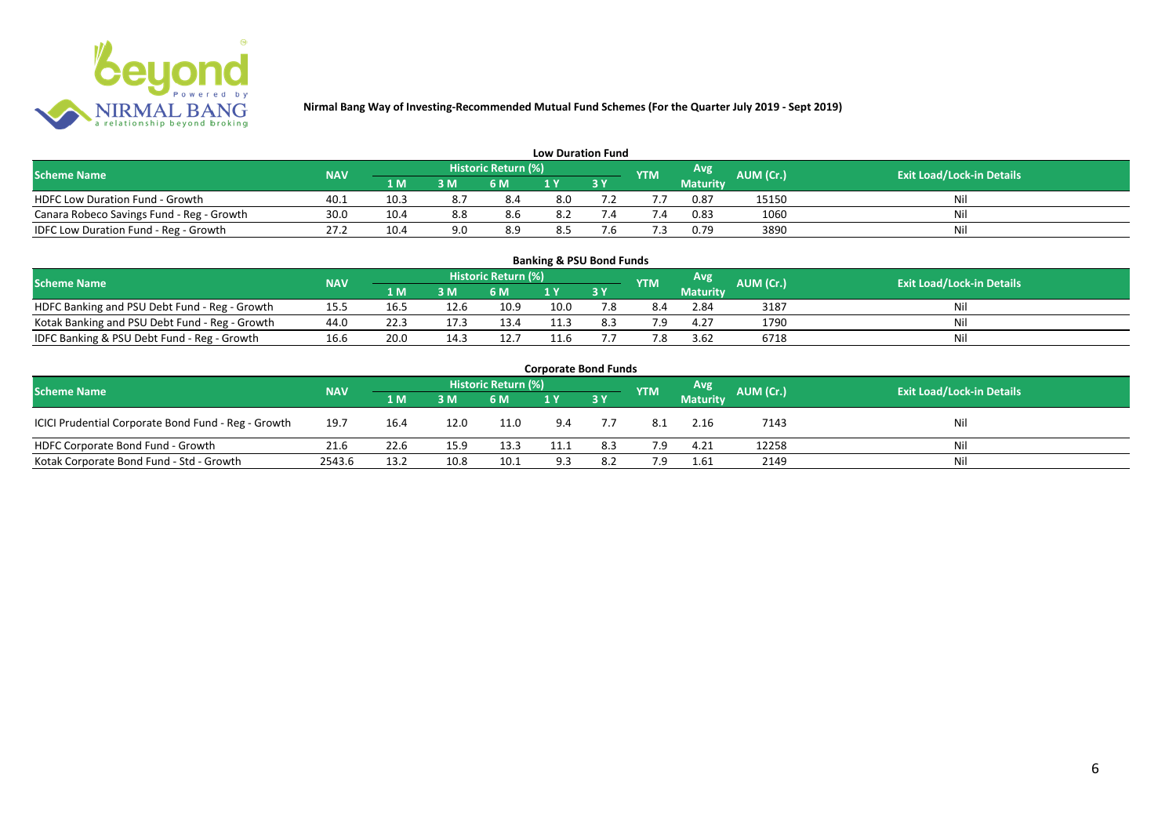

| <b>Low Duration Fund</b>                  |            |      |     |                            |     |  |               |          |           |                                  |  |  |  |  |
|-------------------------------------------|------------|------|-----|----------------------------|-----|--|---------------|----------|-----------|----------------------------------|--|--|--|--|
| <b>Scheme Name</b>                        | <b>NAV</b> |      |     | <b>Historic Return (%)</b> |     |  | <b>YTM</b>    | Avg      | AUM (Cr.) | <b>Exit Load/Lock-in Details</b> |  |  |  |  |
|                                           |            | 1 M  | 3 M | 6 M                        | 1 Y |  |               | Maturity |           |                                  |  |  |  |  |
| <b>HDFC Low Duration Fund - Growth</b>    | 40.1       | 10.3 | 8.  | 8.4                        | 8.0 |  |               | 0.87     | 15150     | Nil                              |  |  |  |  |
| Canara Robeco Savings Fund - Reg - Growth | 30.0       | 10.4 | 8.8 | 8.6                        | 8.2 |  | $^{\prime}.4$ | 0.83     | 1060      | Nil                              |  |  |  |  |
| IDFC Low Duration Fund - Reg - Growth     | 27.2       | 10.4 | 9.0 | 8.9                        | 8.5 |  |               | 0.79     | 3890      | Nil                              |  |  |  |  |

| <b>Banking &amp; PSU Bond Funds</b>                                                                                                                |      |      |      |      |      |     |     |                 |      |    |  |  |  |  |
|----------------------------------------------------------------------------------------------------------------------------------------------------|------|------|------|------|------|-----|-----|-----------------|------|----|--|--|--|--|
| <b>Historic Return (%)</b><br><b>Avg</b><br><b>AUM (Cr.)</b><br><b>Exit Load/Lock-in Details</b><br><b>NAV</b><br><b>Scheme Name</b><br><b>YTM</b> |      |      |      |      |      |     |     |                 |      |    |  |  |  |  |
|                                                                                                                                                    |      | 1 M  | 3 M  | 6 M  |      | 3Y  |     | <b>Maturity</b> |      |    |  |  |  |  |
| HDFC Banking and PSU Debt Fund - Reg - Growth                                                                                                      | 15.5 | 16.5 | 12.6 | 10.9 | 10.0 |     | 8.4 | 2.84            | 3187 | Ni |  |  |  |  |
| Kotak Banking and PSU Debt Fund - Reg - Growth                                                                                                     | 44.0 |      | 17.3 | 13.4 | 11.3 | 8.3 | 79  | 4.27            | 1790 | Ni |  |  |  |  |
| IDFC Banking & PSU Debt Fund - Reg - Growth                                                                                                        | 16.6 | 20.0 | 14.3 | 12.7 | 11.6 |     | 7.8 | 3.62            | 6718 | Ni |  |  |  |  |

| <b>Corporate Bond Funds</b>                         |            |      |                     |      |            |           |           |                                  |       |     |  |  |  |  |
|-----------------------------------------------------|------------|------|---------------------|------|------------|-----------|-----------|----------------------------------|-------|-----|--|--|--|--|
| <b>Scheme Name</b>                                  | <b>NAV</b> |      | Historic Return (%) |      | <b>YTM</b> | Avg       | AUM (Cr.) | <b>Exit Load/Lock-in Details</b> |       |     |  |  |  |  |
|                                                     |            | 1 M  | 3 M                 | 6 M  |            | <b>3Y</b> |           | <b>Maturity</b>                  |       |     |  |  |  |  |
| ICICI Prudential Corporate Bond Fund - Reg - Growth | 19.7       | 16.4 | 12.0                | 11.0 | 9.4        |           | 8.1       | 2.16                             | 7143  | Nil |  |  |  |  |
| HDFC Corporate Bond Fund - Growth                   | 21.6       | 22.6 | 15.9                | 13.3 | 11.1       | 8.3       | 7.9       | 4.21                             | 12258 | Nil |  |  |  |  |
| Kotak Corporate Bond Fund - Std - Growth            | 2543.6     | 13.2 | 10.8                | 10.1 | 9.3        | 8.2       | 7.9       | 1.61                             | 2149  | Nil |  |  |  |  |